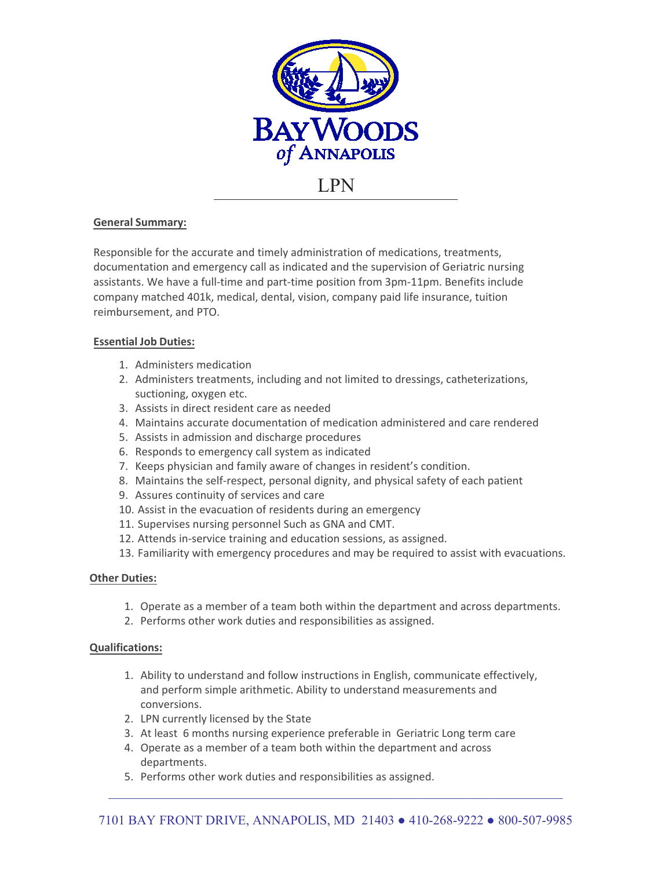

# **General Summary:**

Responsible for the accurate and timely administration of medications, treatments, documentation and emergency call as indicated and the supervision of Geriatric nursing assistants. We have a full-time and part-time position from 3pm-11pm. Benefits include company matched 401k, medical, dental, vision, company paid life insurance, tuition reimbursement, and PTO.

# **Essential Job Duties:**

- 1. Administers medication
- 2. Administers treatments, including and not limited to dressings, catheterizations, suctioning, oxygen etc.
- 3. Assists in direct resident care as needed
- 4. Maintains accurate documentation of medication administered and care rendered
- 5. Assists in admission and discharge procedures
- 6. Responds to emergency call system as indicated
- 7. Keeps physician and family aware of changes in resident's condition.
- 8. Maintains the self-respect, personal dignity, and physical safety of each patient
- 9. Assures continuity of services and care
- 10. Assist in the evacuation of residents during an emergency
- 11. Supervises nursing personnel Such as GNA and CMT.
- 12. Attends in-service training and education sessions, as assigned.
- 13. Familiarity with emergency procedures and may be required to assist with evacuations.

# **Other Duties:**

- 1. Operate as a member of a team both within the department and across departments.
- 2. Performs other work duties and responsibilities as assigned.

## **Qualifications:**

- 1. Ability to understand and follow instructions in English, communicate effectively, and perform simple arithmetic. Ability to understand measurements and conversions.
- 2. LPN currently licensed by the State
- 3. At least 6 months nursing experience preferable in Geriatric Long term care
- 4. Operate as a member of a team both within the department and across departments.
- 5. Performs other work duties and responsibilities as assigned.

 $\mathcal{L}_\mathcal{L} = \{ \mathcal{L}_\mathcal{L} = \{ \mathcal{L}_\mathcal{L} = \{ \mathcal{L}_\mathcal{L} = \{ \mathcal{L}_\mathcal{L} = \{ \mathcal{L}_\mathcal{L} = \{ \mathcal{L}_\mathcal{L} = \{ \mathcal{L}_\mathcal{L} = \{ \mathcal{L}_\mathcal{L} = \{ \mathcal{L}_\mathcal{L} = \{ \mathcal{L}_\mathcal{L} = \{ \mathcal{L}_\mathcal{L} = \{ \mathcal{L}_\mathcal{L} = \{ \mathcal{L}_\mathcal{L} = \{ \mathcal{L}_\mathcal{$